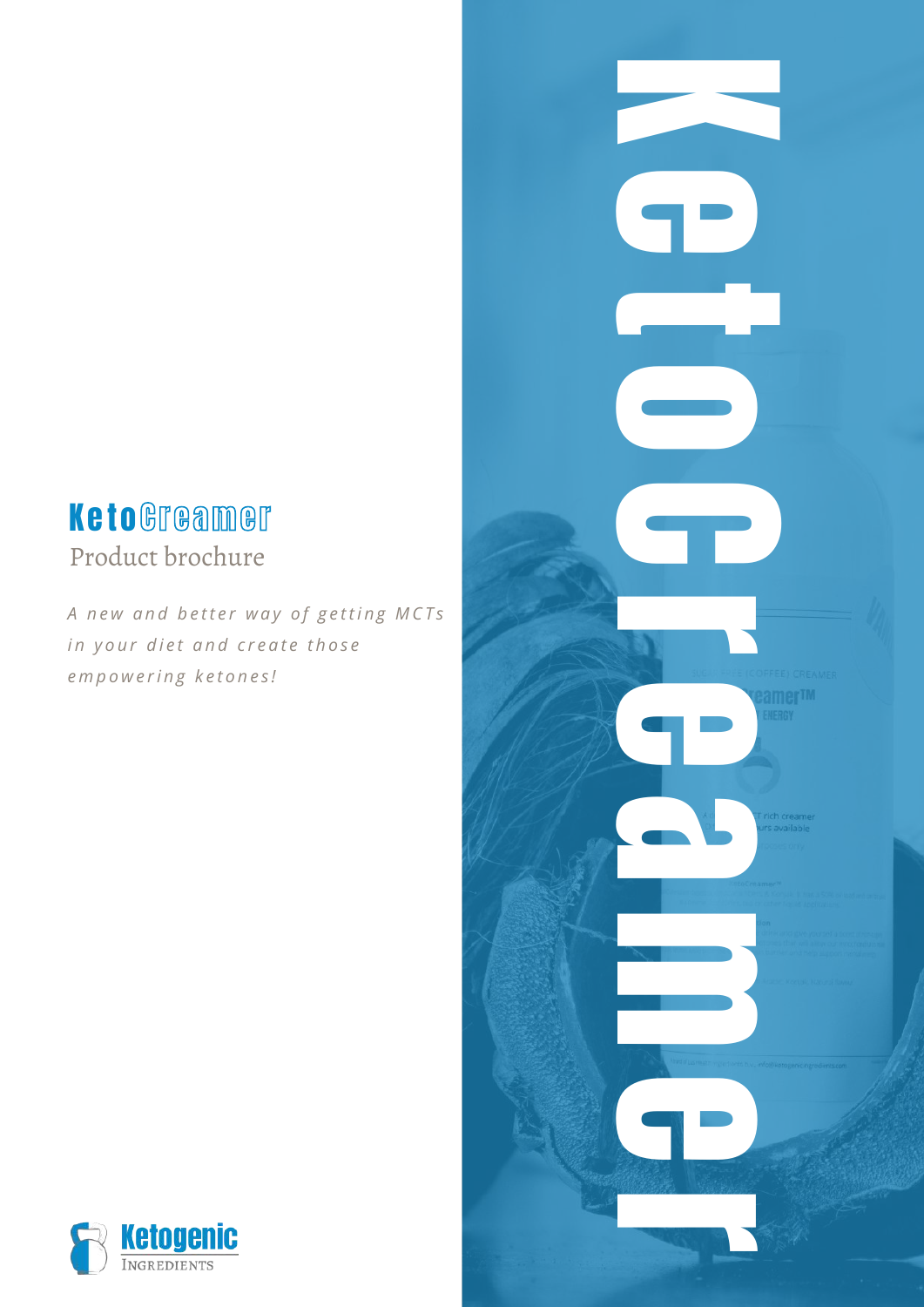## Product brochure K e to Greamer

A new and better way of getting MCTs *in* your diet and create those *e m p o w e r i n g k e t o n e s !*



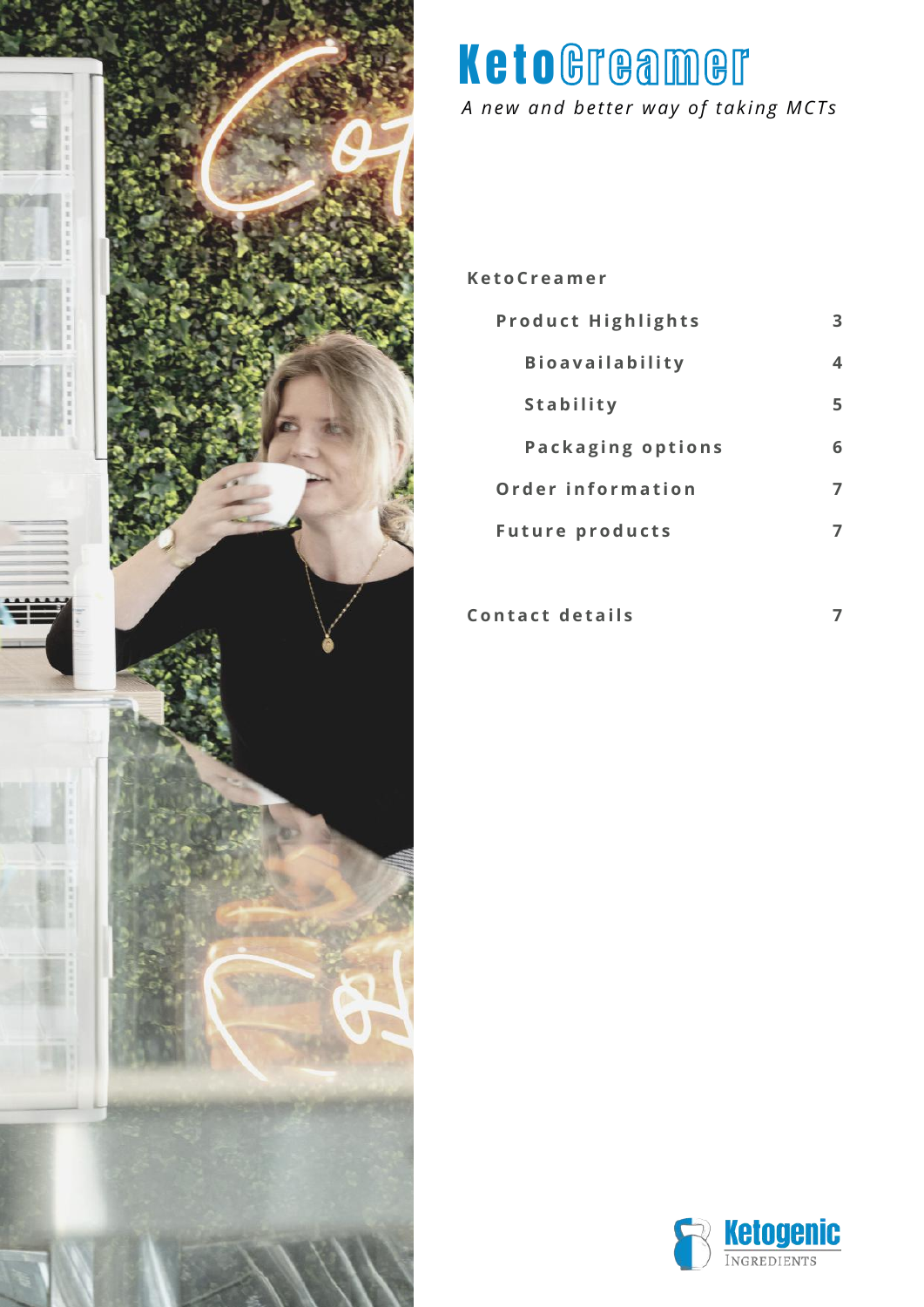

*A new and better way of taking MCTs*

#### **Ke t o C r e ame r**

| <b>Product Highlights</b> |   |  |
|---------------------------|---|--|
| <b>Bioavailability</b>    | 4 |  |
| <b>Stability</b>          | 5 |  |
| <b>Packaging options</b>  | 6 |  |
| Order information         |   |  |
| <b>Future products</b>    |   |  |
|                           |   |  |

**c**  $\theta$  **c**  $\theta$  **d e**  $\theta$  **i s i**  $\theta$ 

**7**

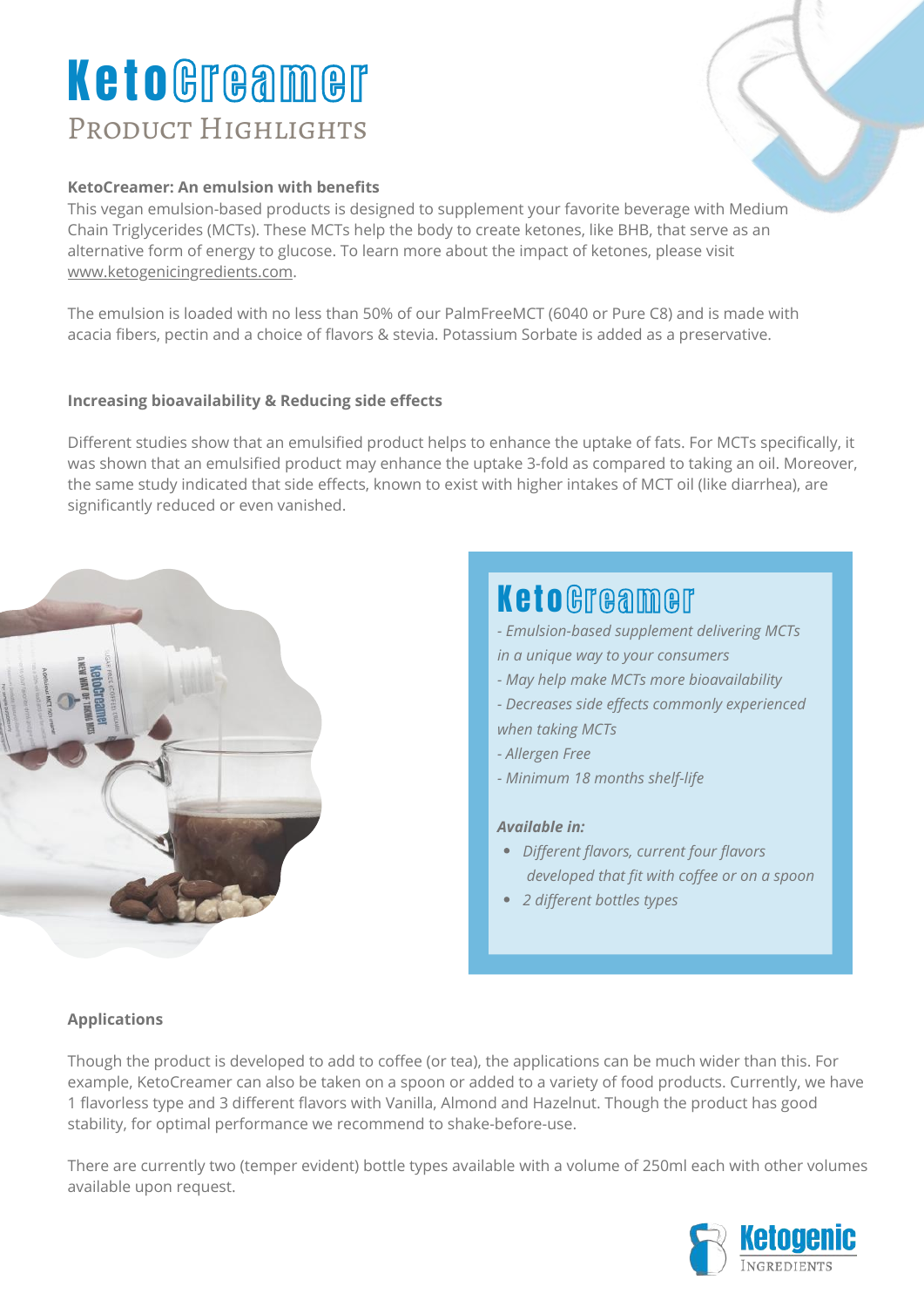## PRODUCT HIGHLIGHTS KetoGreamer

#### **KetoCreamer: An emulsion with benefits**

This vegan emulsion-based products is designed to supplement your favorite beverage with Medium Chain Triglycerides (MCTs). These MCTs help the body to create ketones, like BHB, that serve as an alternative form of energy to glucose. To learn more about the impact of ketones, please visit [www.ketogenicingredients.com.](http://www.ketogenicingredients.com/)

The emulsion is loaded with no less than 50% of our PalmFreeMCT (6040 or Pure C8) and is made with acacia fibers, pectin and a choice of flavors & stevia. Potassium Sorbate is added as a preservative.

#### **Increasing bioavailability & Reducing side effects**

Different studies show that an emulsified product helps to enhance the uptake of fats. For MCTs specifically, it was shown that an emulsified product may enhance the uptake 3-fold as compared to taking an oil. Moreover, the same study indicated that side effects, known to exist with higher intakes of MCT oil (like diarrhea), are significantly reduced or even vanished.



## *Different flavors, current four flavors developed that fit with coffee or on a spoon 2 different bottles types - Emulsion-based supplement delivering MCTs in a unique way to your consumers - May help make MCTs more bioavailability - Decreases side effects commonly experienced when taking MCTs - Allergen Free - Minimum 18 months shelf-life Available in:* **KetoGreamer**

#### **Applications**

Though the product is developed to add to coffee (or tea), the applications can be much wider than this. For example, KetoCreamer can also be taken on a spoon or added to a variety of food products. Currently, we have 1 flavorless type and 3 different flavors with Vanilla, Almond and Hazelnut. Though the product has good stability, for optimal performance we recommend to shake-before-use.

There are currently two (temper evident) bottle types available with a volume of 250ml each with other volumes available upon request.

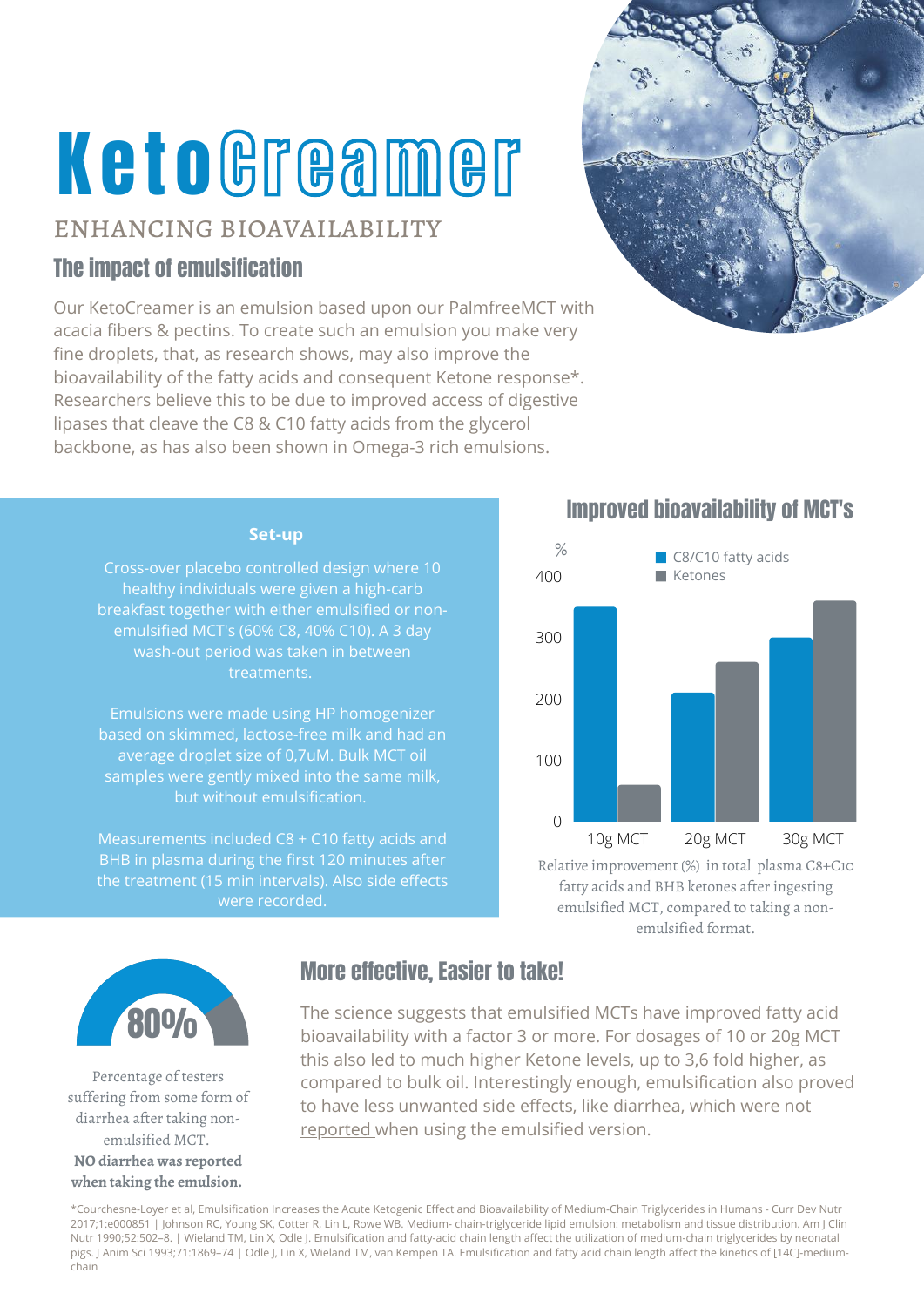### enhancing bioavailability

## The impact of emulsification

Our KetoCreamer is an emulsion based upon our PalmfreeMCT with acacia fibers & pectins. To create such an emulsion you make very fine droplets, that, as research shows, may also improve the bioavailability of the fatty acids and consequent Ketone response\*. Researchers believe this to be due to improved access of digestive lipases that cleave the C8 & C10 fatty acids from the glycerol backbone, as has also been shown in Omega-3 rich emulsions.



#### **Set-up**

Cross-over placebo controlled design where 10 healthy individuals were given a high-carb breakfast together with either emulsified or nonemulsified MCT's (60% C8, 40% C10). A 3 day wash-out period was taken in between treatments.

Emulsions were made using HP homogenizer based on skimmed, lactose-free milk and had an average droplet size of 0,7uM. Bulk MCT oil samples were gently mixed into the same milk, but without emulsification.

Measurements included C8 + C10 fatty acids and BHB in plasma during the first 120 minutes after were recorded.

## Improved bioavailability of MCT's



Relative improvement (%) in total plasma C8+C10 fatty acids and BHB ketones after ingesting emulsified MCT, compared to taking a nonemulsified format.



Percentage of testers suffering from some form of diarrhea after taking nonemulsified MCT. **NO diarrhea was reported**

## **when taking the emulsion.**

## More effective, Easier to take!

The science suggests that emulsified MCTs have improved fatty acid **800%** The science suggests that emulsified MCTs have improved fatty acid this also led to much higher Ketone levels, up to 3,6 fold higher, as compared to bulk oil. Interestingly enough, emulsification also proved to have less unwanted side effects, like diarrhea, which were not reported when using the emulsified version.

\*Courchesne-Loyer et al, Emulsification Increases the Acute Ketogenic Effect and Bioavailability of Medium-Chain Triglycerides in Humans - Curr Dev Nutr 2017;1:e000851 | Johnson RC, Young SK, Cotter R, Lin L, Rowe WB. Medium- chain-triglyceride lipid emulsion: metabolism and tissue distribution. Am J Clin Nutr 1990;52:502–8. | Wieland TM, Lin X, Odle J. Emulsification and fatty-acid chain length affect the utilization of medium-chain triglycerides by neonatal pigs. J Anim Sci 1993;71:1869–74 | Odle J, Lin X, Wieland TM, van Kempen TA. Emulsification and fatty acid chain length affect the kinetics of [14C]-mediumchain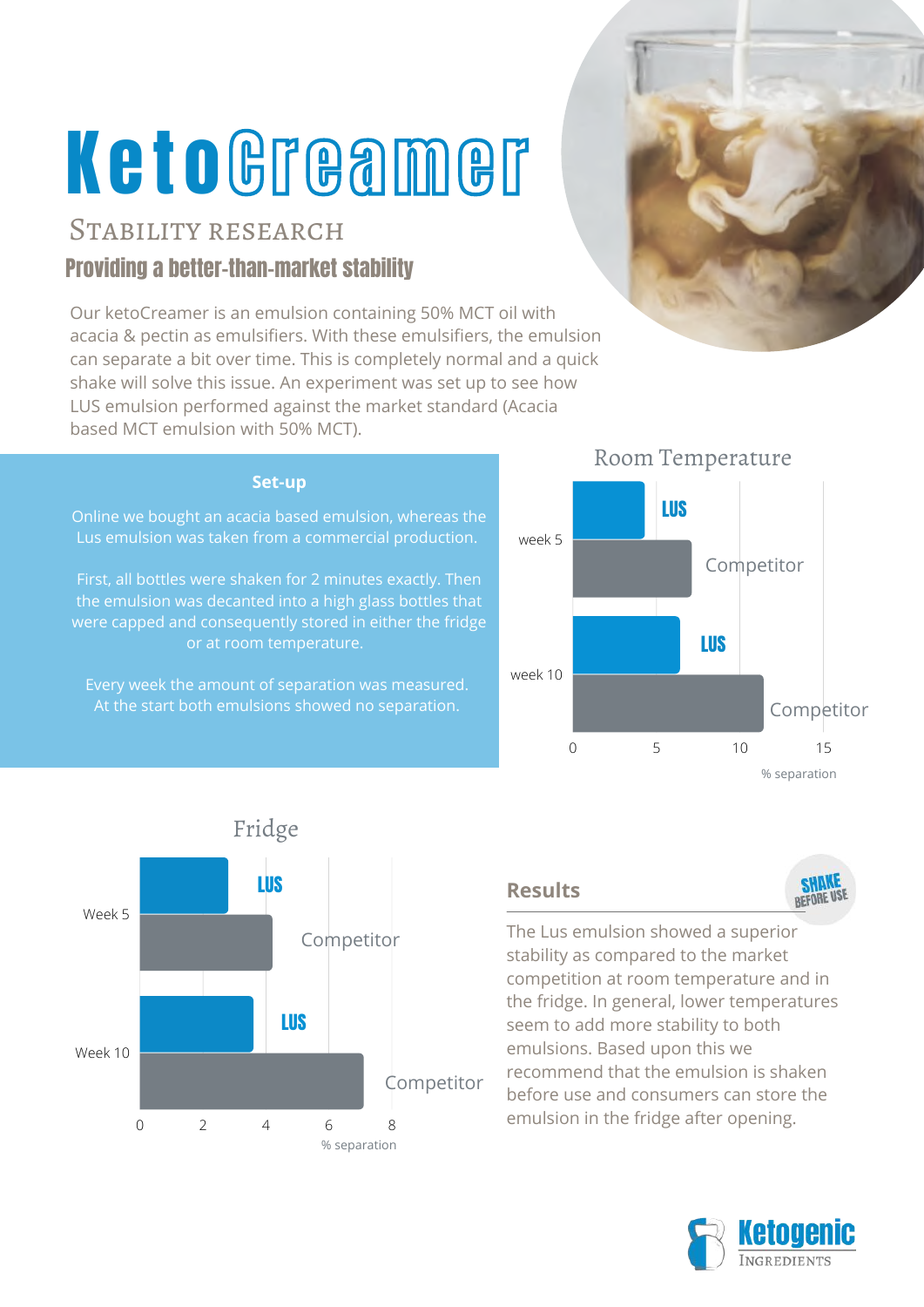## STABILITY RESEARCH

## Providing a better-than-market stability

Our ketoCreamer is an emulsion containing 50% MCT oil with acacia & pectin as emulsifiers. With these emulsifiers, the emulsion can separate a bit over time. This is completely normal and a quick shake will solve this issue. An experiment was set up to see how LUS emulsion performed against the market standard (Acacia based MCT emulsion with 50% MCT).

#### **Set-up**

Online we bought an acacia based emulsion, whereas the Lus emulsion was taken from a commercial production.

First, all bottles were shaken for 2 minutes exactly. Then the emulsion was decanted into a high glass bottles that were capped and consequently stored in either the fridge or at room temperature.

Every week the amount of separation was measured. At the start both emulsions showed no separation.







### **Results**



The Lus emulsion showed a superior stability as compared to the market competition at room temperature and in the fridge. In general, lower temperatures seem to add more stability to both emulsions. Based upon this we recommend that the emulsion is shaken before use and consumers can store the emulsion in the fridge after opening.



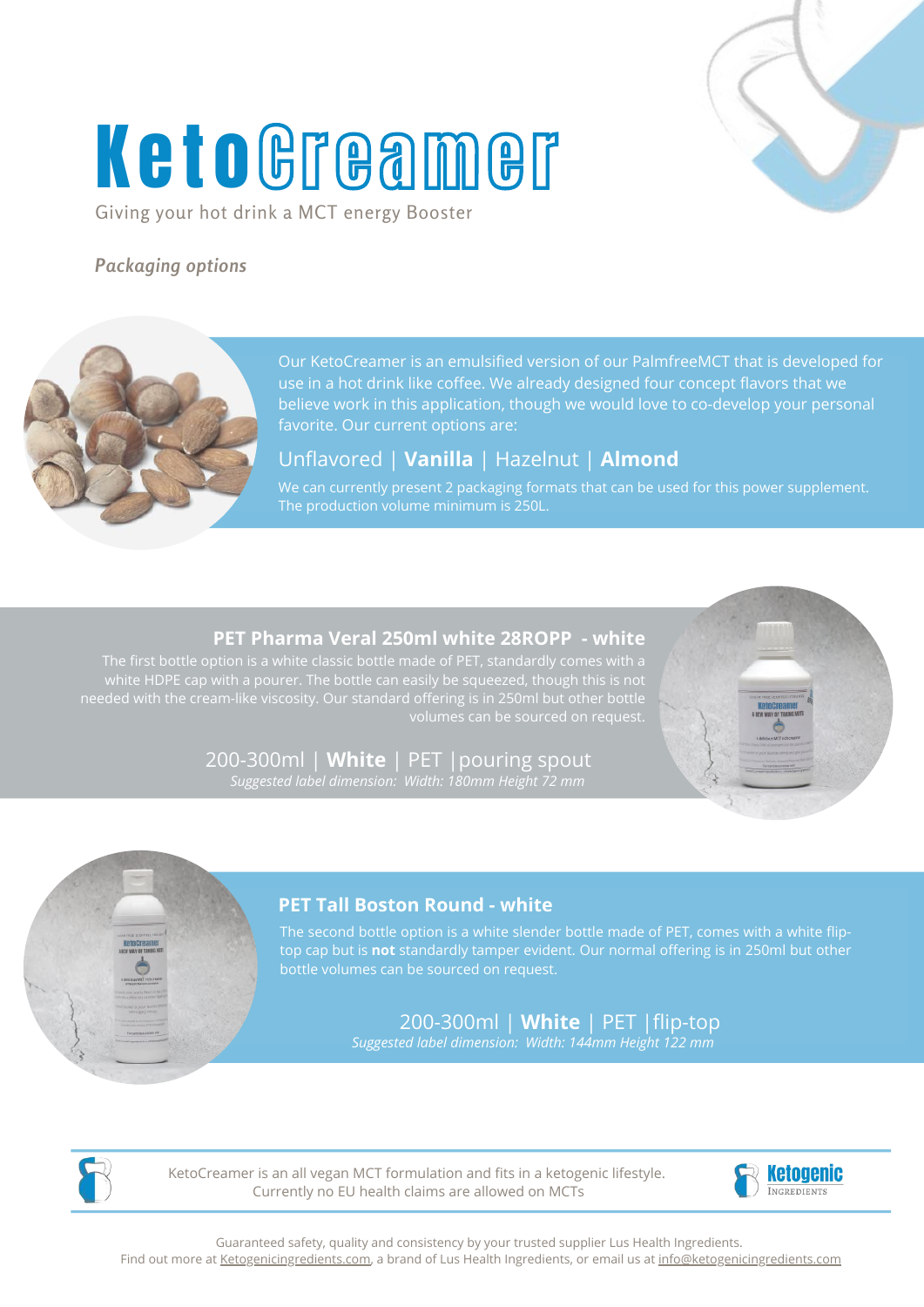Giving your hot drink a MCT energy Booster

### *Packaging options*

Our KetoCreamer is an emulsified version of our PalmfreeMCT that is developed for use in a hot drink like coffee. We already designed four concept flavors that we believe work in this application, though we would love to co-develop your personal favorite. Our current options are:

Unflavored | **Vanilla** | Hazelnut | **Almond**

We can currently present 2 packaging formats that can be used for this power supplement.

#### **PET Pharma Veral 250ml white 28ROPP - white**

200-300ml | **White** | PET |pouring spout *Suggested label dimension: Width: 180mm Height 72 mm*



energy

energy



### **PET Tall Boston Round - white**

The second bottle option is a white slender bottle made of PET, comes with a white fliptop cap but is **not** standardly tamper evident. Our normal offering is in 250ml but other

> 200-300ml | **White** | PET |flip-top *Suggested label dimension: Width: 144mm Height 122 mm*



KetoCreamer is an all vegan MCT formulation and fits in a ketogenic lifestyle. Currently no EU health claims are allowed on MCTs



Guaranteed safety, quality and consistency by your trusted supplier Lus Health Ingredients. Find out more at [Ketogenicingredients.com,](http://ketogenicingredients.com/) a brand of Lus Health Ingredients, or email us at [info@ketogenicingredients.com](mailto:info@ketogenicingredients.com)